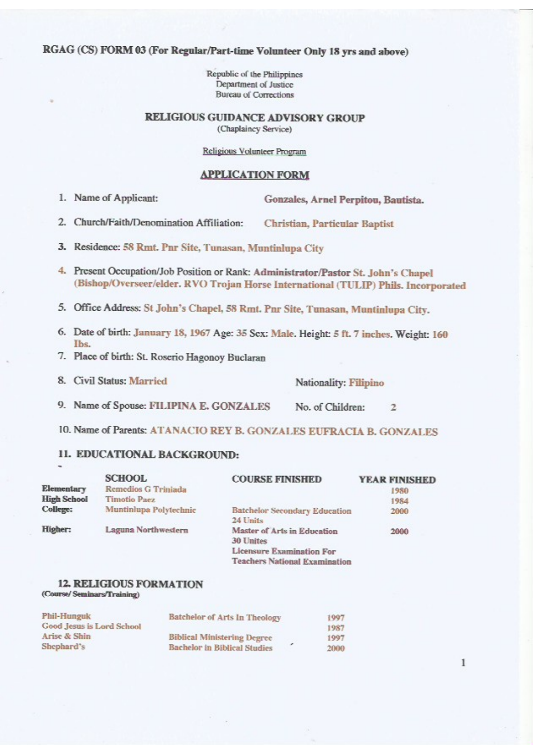# RGAG (CS) FORM 03 (For Regular/Part-time Volunteer Only 18 yrs and above)

Republic of the Philippines Department of Justice **Bureau of Corrections** 

# RELIGIOUS GUIDANCE ADVISORY GROUP

(Chaplaincy Service)

## Religious Volunteer Program

## **APPLICATION FORM**

1. Name of Applicant:

Gonzales, Arnel Perpitou, Bautista.

- 2. Church/Faith/Denomination Affiliation: **Christian, Particular Baptist**
- 3. Residence: 58 Rmt. Pnr Site, Tunasan, Muntinlupa City
- 4. Present Occupation/Job Position or Rank: Administrator/Pastor St. John's Chapel (Bishop/Overseer/elder. RVO Trojan Horse International (TULIP) Phils. Incorporated
- 5. Office Address: St John's Chapel, 58 Rmt. Pnr Site, Tunasan, Muntinlupa City.
- 6. Date of birth: January 18, 1967 Age: 35 Sex: Male. Height: 5 ft. 7 inches. Weight: 160 The
- 7. Place of birth: St. Roserio Hagonoy Buclaran
- 8. Civil Status: Married Nationality: Filipino
- 9. Name of Spouse: FILIPINA E. GONZALES No. of Children:  $\mathbf{z}$
- 10. Name of Parents: ATANACIO REY B. GONZALES EUFRACIA B. GONZALES

# 11. EDUCATIONAL BACKGROUND:

|                    | <b>SCHOOL</b>          | <b>COURSE FINISHED</b>                           | <b>YEAR FINISHED</b> |
|--------------------|------------------------|--------------------------------------------------|----------------------|
| Elementary         | Remedios G Triniada    |                                                  | 1980                 |
| <b>High School</b> | <b>Timotio Paez</b>    |                                                  | 1984                 |
| College:           | Muntinlupa Polytechnic | <b>Batchelor Secondary Education</b><br>24 Units | 2000                 |
| Higher:            | Laguna Northwestern    | Master of Arts in Education<br>30 Unites         | 2000                 |
|                    |                        | Licensure Examination For                        |                      |
|                    |                        | <b>Teachers National Examination</b>             |                      |

## **12. RELIGIOUS FORMATION** (Course/Seminars/Training)

| <b>Phil-Hunguk</b>        | Batchelor of Arts In Theology       | 1997 |
|---------------------------|-------------------------------------|------|
| Good Jesus is Lord School |                                     | 1987 |
| Arise & Shin              | <b>Biblical Ministering Degree</b>  | 1997 |
| Shephard's                | <b>Bachelor</b> in Biblical Studies | 2000 |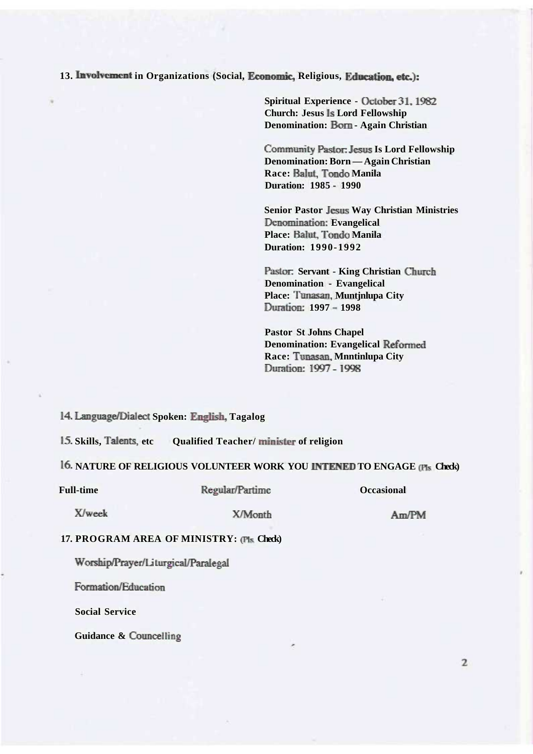**13. Involvement in Organizations (Social, Economic, Religious, Education, etc):** 

**Spiritual Experience - October 31,1982 Church: Jesus Is Lord Fellowship Denomination: Bom - Again Christian** 

**Community Pastor: Jesus Is Lord Fellowship Denomination: Born — Again Christian Race: Balut, Tondo Manila Duration: 1985 - 1990** 

**Senior Pastor Jesus Way Christian Ministries Denomination: Evangelical** Place: Balut, Tondo Manila **Duration: 1990-1992** 

**Pastor: Servant - King Christian Church Denomination - Evangelical Place: Tunasan, Muntjnlupa City Duration: 1997 - 1998** 

**Pastor St Johns Chapel Denomination: Evangelical Reformed Race: Tunasan, Mnntinlupa City Duration: 1997-1998** 

**14, Language/Dialect Spoken: English, Tagalog** 

**15. Skills, Talents, etc Qualified Teacher/ minister of religion** 

# **16. NATURE OF RELIGIOUS VOLUNTEER WORK YOU INTENED TO ENGAGE (Fis Check)**

### Full-time Regular/Partime **Constanting Construction**

# **X/woek X/Month Am/PM**

## **17. PROGRAM AREA OF MINISTRY: (Fls. Check)**

**Worship/Prayer/Li turgical/Paralegal** 

**Formation/Education** 

**Social Service** 

**Guidance & Councelling**